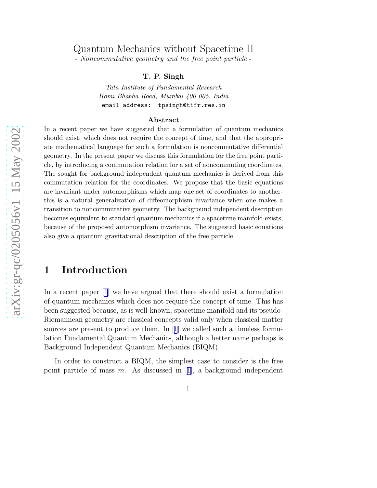#### Quantum Mechanics without Spacetime II - Noncommutative geometry and the free point particle -

T. P. Singh

Tata Institute of Fundamental Research Homi Bhabha Road, Mumbai 400 005, India email address: tpsingh@tifr.res.in

#### Abstract

In a recent paper we have suggested that a formulation of quantum mechanics should exist, which does not require the concept of time, and that the appropriate mathematical language for such a formulation is noncommutative differential geometry. In the present paper we discuss this formulation for the free point particle, by introducing a commutation relation for a set of noncommuting coordinates. The sought for background independent quantum mechanics is derived from this commutation relation for the coordinates. We propose that the basic equations are invariant under automorphisms which map one set of coordinates to anotherthis is a natural generalization of diffeomorphism invariance when one makes a transition to noncommutative geometry. The background independent description becomes equivalent to standard quantum mechanics if a spacetime manifold exists, because of the proposed automorphism invariance. The suggested basic equations also give a quantum gravitational description of the free particle.

#### 1 Introduction

In a recent paper [\[1](#page-7-0)] we have argued that there should exist a formulation of quantum mechanics which does not require the concept of time. This has been suggested because, as is well-known, spacetime manifold and its pseudo-Riemannean geometry are classical concepts valid only when classical matter sources are present to produce them. In[[1](#page-7-0)] we called such a timeless formulation Fundamental Quantum Mechanics, although a better name perhaps is Background Independent Quantum Mechanics (BIQM).

In order to construct a BIQM, the simplest case to consider is the free pointparticle of mass  $m$ . As discussed in [[1\]](#page-7-0), a background independent

1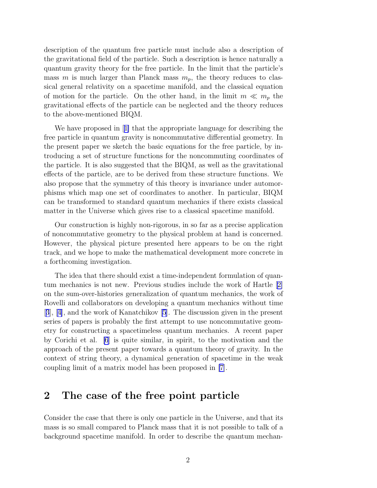description of the quantum free particle must include also a description of the gravitational field of the particle. Such a description is hence naturally a quantum gravity theory for the free particle. In the limit that the particle's mass  $m$  is much larger than Planck mass  $m_p$ , the theory reduces to classical general relativity on a spacetime manifold, and the classical equation of motion for the particle. On the other hand, in the limit  $m \ll m_p$  the gravitational effects of the particle can be neglected and the theory reduces to the above-mentioned BIQM.

We have proposed in[[1\]](#page-7-0) that the appropriate language for describing the free particle in quantum gravity is noncommutative differential geometry. In the present paper we sketch the basic equations for the free particle, by introducing a set of structure functions for the noncommuting coordinates of the particle. It is also suggested that the BIQM, as well as the gravitational effects of the particle, are to be derived from these structure functions. We also propose that the symmetry of this theory is invariance under automorphisms which map one set of coordinates to another. In particular, BIQM can be transformed to standard quantum mechanics if there exists classical matter in the Universe which gives rise to a classical spacetime manifold.

Our construction is highly non-rigorous, in so far as a precise application of noncommutative geometry to the physical problem at hand is concerned. However, the physical picture presented here appears to be on the right track, and we hope to make the mathematical development more concrete in a forthcoming investigation.

The idea that there should exist a time-independent formulation of quantum mechanics is not new. Previous studies include the work of Hartle [[2\]](#page-7-0) on the sum-over-histories generalization of quantum mechanics, the work of Rovelli and collaborators on developing a quantum mechanics without time [[3](#page-7-0)],[[4\]](#page-7-0), and the work of Kanatchikov [\[5\]](#page-7-0). The discussion given in the present series of papers is probably the first attempt to use noncommutative geometry for constructing a spacetimeless quantum mechanics. A recent paper by Corichi et al. [\[6](#page-7-0)] is quite similar, in spirit, to the motivation and the approach of the present paper towards a quantum theory of gravity. In the context of string theory, a dynamical generation of spacetime in the weak coupling limit of a matrix model has been proposed in [\[7](#page-7-0)].

### 2 The case of the free point particle

Consider the case that there is only one particle in the Universe, and that its mass is so small compared to Planck mass that it is not possible to talk of a background spacetime manifold. In order to describe the quantum mechan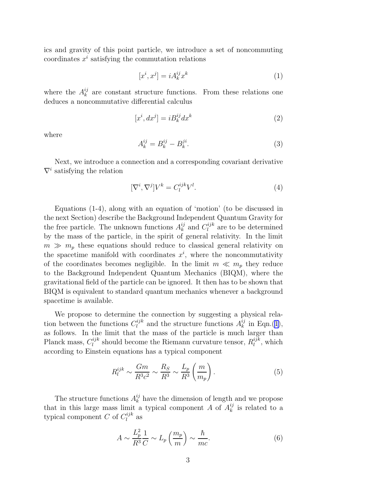<span id="page-2-0"></span>ics and gravity of this point particle, we introduce a set of noncommuting coordinates  $x^i$  satisfying the commutation relations

$$
[x^i, x^j] = iA_k^{ij}x^k \tag{1}
$$

where the  $A_k^{ij}$  $\frac{y}{k}$  are constant structure functions. From these relations one deduces a noncommutative differential calculus

$$
[x^i, dx^j] = i B_k^{ij} dx^k
$$
 (2)

where

$$
A_k^{ij} = B_k^{ij} - B_k^{ji}.\tag{3}
$$

Next, we introduce a connection and a corresponding covariant derivative  $\nabla^i$  satisfying the relation

$$
[\nabla^i, \nabla^j] V^k = C_l^{ijk} V^l. \tag{4}
$$

Equations (1-4), along with an equation of 'motion' (to be discussed in the next Section) describe the Background Independent Quantum Gravity for the free particle. The unknown functions  $A_k^{ij}$  $_k^{ij}$  and  $C_l^{ijk}$  $l_l^{ijk}$  are to be determined by the mass of the particle, in the spirit of general relativity. In the limit  $m \gg m_p$  these equations should reduce to classical general relativity on the spacetime manifold with coordinates  $x^i$ , where the noncommutativity of the coordinates becomes negligible. In the limit  $m \ll m_p$  they reduce to the Background Independent Quantum Mechanics (BIQM), where the gravitational field of the particle can be ignored. It then has to be shown that BIQM is equivalent to standard quantum mechanics whenever a background spacetime is available.

We propose to determine the connection by suggesting a physical relation between the functions  $C_l^{ijk}$  $l_l^{ijk}$  and the structure functions  $A_k^{ij}$  $_k^{ij}$  in Eqn.(1), as follows. In the limit that the mass of the particle is much larger than Planck mass,  $C_l^{ijk}$  $l_l^{ijk}$  should become the Riemann curvature tensor,  $R_l^{ijk}$  $l^{ijk}_{l}$ , which according to Einstein equations has a typical component

$$
R_l^{ijk} \sim \frac{Gm}{R^3 c^2} \sim \frac{R_S}{R^3} \sim \frac{L_p}{R^3} \left(\frac{m}{m_p}\right). \tag{5}
$$

The structure functions  $A_k^{ij}$  have the dimension of length and we propose that in this large mass limit a typical component A of  $A_k^{ij}$  $\binom{ij}{k}$  is related to a typical component C of  $C_l^{ijk}$  $l^{ijk}$  as

$$
A \sim \frac{L_p^2}{R^3} \frac{1}{C} \sim L_p \left(\frac{m_p}{m}\right) \sim \frac{\hbar}{mc}.
$$
 (6)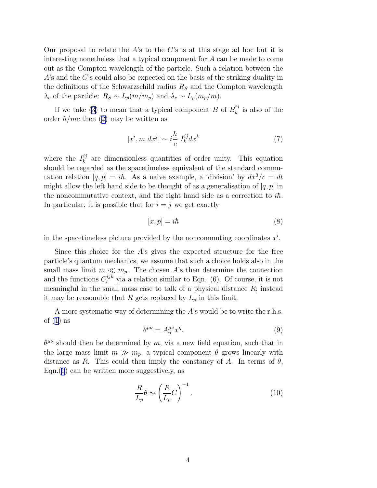Our proposal to relate the  $A$ 's to the C's is at this stage ad hoc but it is interesting nonetheless that a typical component for A can be made to come out as the Compton wavelength of the particle. Such a relation between the A's and the C's could also be expected on the basis of the striking duality in the definitions of the Schwarzschild radius  $R<sub>S</sub>$  and the Compton wavelength  $\lambda_c$  of the particle:  $R_S \sim L_p(m/m_p)$  and  $\lambda_c \sim L_p(m_p/m)$ .

Ifwe take ([3\)](#page-2-0) to mean that a typical component B of  $B_k^{ij}$  $\binom{ij}{k}$  is also of the order $\hbar/mc$  then ([2\)](#page-2-0) may be written as

$$
[x^i, m \ dx^j] \sim i\frac{\hbar}{c} I_k^{ij} dx^k \tag{7}
$$

where the  $I_k^{ij}$  $\frac{u}{k}$  are dimensionless quantities of order unity. This equation should be regarded as the spacetimeless equivalent of the standard commutation relation  $[q, p] = i\hbar$ . As a naive example, a 'division' by  $dx^0/c = dt$ might allow the left hand side to be thought of as a generalisation of  $[q, p]$  in the noncommutative context, and the right hand side as a correction to  $i\hbar$ . In particular, it is possible that for  $i = j$  we get exactly

$$
[x,p] = i\hbar \tag{8}
$$

in the spacetimeless picture provided by the noncommuting coordinates  $x^i$ .

Since this choice for the  $A$ 's gives the expected structure for the free particle's quantum mechanics, we assume that such a choice holds also in the small mass limit  $m \ll m_p$ . The chosen A's then determine the connection and the functions  $C_l^{ijk}$  via a relation similar to Eqn. (6). Of course, it is not meaningful in the small mass case to talk of a physical distance  $R$ ; instead it may be reasonable that R gets replaced by  $L_p$  in this limit.

A more systematic way of determining the A's would be to write the r.h.s. of  $(1)$  as

$$
\theta^{\mu\nu} = A^{\mu\nu}_\eta x^\eta. \tag{9}
$$

 $\theta^{\mu\nu}$  should then be determined by m, via a new field equation, such that in the large mass limit  $m \gg m_p$ , a typical component  $\theta$  grows linearly with distance as R. This could then imply the constancy of A. In terms of  $\theta$ , Eqn.([6](#page-2-0)) can be written more suggestively, as

$$
\frac{R}{L_p}\theta \sim \left(\frac{R}{L_p}C\right)^{-1}.\tag{10}
$$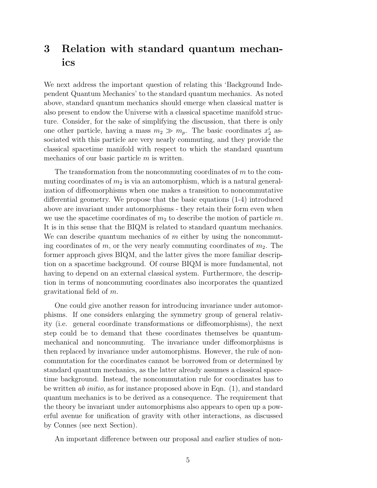# 3 Relation with standard quantum mechanics

We next address the important question of relating this 'Background Independent Quantum Mechanics' to the standard quantum mechanics. As noted above, standard quantum mechanics should emerge when classical matter is also present to endow the Universe with a classical spacetime manifold structure. Consider, for the sake of simplifying the discussion, that there is only one other particle, having a mass  $m_2 \gg m_p$ . The basic coordinates  $x_2^i$  associated with this particle are very nearly commuting, and they provide the classical spacetime manifold with respect to which the standard quantum mechanics of our basic particle  $m$  is written.

The transformation from the noncommuting coordinates of  $m$  to the commuting coordinates of  $m_2$  is via an automorphism, which is a natural generalization of diffeomorphisms when one makes a transition to noncommutative differential geometry. We propose that the basic equations (1-4) introduced above are invariant under automorphisms - they retain their form even when we use the spacetime coordinates of  $m_2$  to describe the motion of particle m. It is in this sense that the BIQM is related to standard quantum mechanics. We can describe quantum mechanics of  $m$  either by using the noncommuting coordinates of  $m$ , or the very nearly commuting coordinates of  $m_2$ . The former approach gives BIQM, and the latter gives the more familiar description on a spacetime background. Of course BIQM is more fundamental, not having to depend on an external classical system. Furthermore, the description in terms of noncommuting coordinates also incorporates the quantized gravitational field of m.

One could give another reason for introducing invariance under automorphisms. If one considers enlarging the symmetry group of general relativity (i.e. general coordinate transformations or diffeomorphisms), the next step could be to demand that these coordinates themselves be quantummechanical and noncommuting. The invariance under diffeomorphisms is then replaced by invariance under automorphisms. However, the rule of noncommutation for the coordinates cannot be borrowed from or determined by standard quantum mechanics, as the latter already assumes a classical spacetime background. Instead, the noncommutation rule for coordinates has to be written ab initio, as for instance proposed above in Eqn.  $(1)$ , and standard quantum mechanics is to be derived as a consequence. The requirement that the theory be invariant under automorphisms also appears to open up a powerful avenue for unification of gravity with other interactions, as discussed by Connes (see next Section).

An important difference between our proposal and earlier studies of non-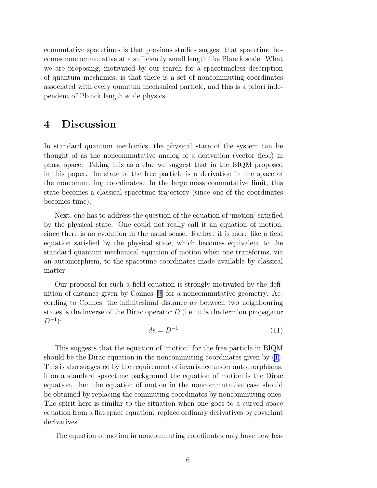commutative spacetimes is that previous studies suggest that spacetime becomes noncommutative at a sufficiently small length like Planck scale. What we are proposing, motivated by our search for a spacetimeless description of quantum mechanics, is that there is a set of noncommuting coordinates associated with every quantum mechanical particle, and this is a priori independent of Planck length scale physics.

## 4 Discussion

In standard quantum mechanics, the physical state of the system can be thought of as the noncommutative analog of a derivation (vector field) in phase space. Taking this as a clue we suggest that in the BIQM proposed in this paper, the state of the free particle is a derivation in the space of the noncommuting coordinates. In the large mass commutative limit, this state becomes a classical spacetime trajectory (since one of the coordinates becomes time).

Next, one has to address the question of the equation of 'motion' satisfied by the physical state. One could not really call it an equation of motion, since there is no evolution in the usual sense. Rather, it is more like a field equation satisfied by the physical state, which becomes equivalent to the standard quantum mechanical equation of motion when one transforms, via an automorphism, to the spacetime coordinates made available by classical matter.

Our proposal for such a field equation is strongly motivated by the definition of distance given by Connes [\[8](#page-7-0)] for a noncommutative geometry. According to Connes, the infinitesimal distance ds between two neighbouring states is the inverse of the Dirac operator  $D$  (i.e. it is the fermion propagator  $D^{-1}$ ):

$$
ds = D^{-1} \tag{11}
$$

This suggests that the equation of 'motion' for the free particle in BIQM should be the Dirac equation in the noncommuting coordinates given by [\(1](#page-2-0)). This is also suggested by the requirement of invariance under automorphisms: if on a standard spacetime background the equation of motion is the Dirac equation, then the equation of motion in the noncommutative case should be obtained by replacing the commuting coordinates by noncommuting ones. The spirit here is similar to the situation when one goes to a curved space equation from a flat space equation: replace ordinary derivatives by covariant derivatives.

The equation of motion in noncommuting coordinates may have new fea-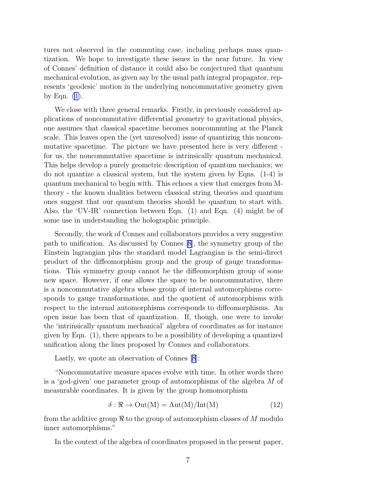tures not observed in the commuting case, including perhaps mass quantization. We hope to investigate these issues in the near future. In view of Connes' definition of distance it could also be conjectured that quantum mechanical evolution, as given say by the usual path integral propagator, represents 'geodesic' motion in the underlying noncommutative geometry given by Eqn. [\(1](#page-2-0)).

We close with three general remarks. Firstly, in previously considered applications of noncommutative differential geometry to gravitational physics, one assumes that classical spacetime becomes noncommuting at the Planck scale. This leaves open the (yet unresolved) issue of quantizing this noncommutative spacetime. The picture we have presented here is very different for us, the noncommutative spacetime is intrinsically quantum mechanical. This helps develop a purely geometric description of quantum mechanics; we do not quantize a classical system, but the system given by Eqns. (1-4) is quantum mechanical to begin with. This echoes a view that emerges from Mtheory - the known dualities between classical string theories and quantum ones suggest that our quantum theories should be quantum to start with. Also, the 'UV-IR' connection between Eqn.  $(1)$  and Eqn.  $(4)$  might be of some use in understanding the holographic principle.

Secondly, the work of Connes and collaborators provides a very suggestive path to unification. As discussed by Connes [\[8](#page-7-0)], the symmetry group of the Einstein lagrangian plus the standard model Lagrangian is the semi-direct product of the diffeomorphism group and the group of gauge transformations. This symmetry group cannot be the diffeomorphism group of some new space. However, if one allows the space to be noncommutative, there is a noncommutative algebra whose group of internal automorphisms corresponds to gauge transformations, and the quotient of automorphisms with respect to the internal automorphisms corresponds to diffeomorphisms. An open issue has been that of quantization. If, though, one were to invoke the 'intrinsically quantum mechanical' algebra of coordinates as for instance given by Eqn. (1), there appears to be a possibility of developing a quantized unification along the lines proposed by Connes and collaborators.

Lastly, we quote an observation of Connes [\[8](#page-7-0)]:

"Noncommutative measure spaces evolve with time. In other words there is a 'god-given' one parameter group of automorphisms of the algebra M of measurable coordinates. It is given by the group homomorphism

$$
\delta : \Re \to \text{Out(M)} = \text{Aut(M)/Int(M)} \tag{12}
$$

from the additive group  $\Re$  to the group of automorphism classes of M modulo inner automorphisms."

In the context of the algebra of coordinates proposed in the present paper,